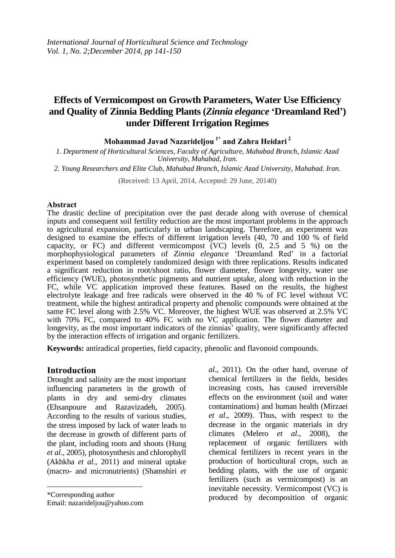# **Effects of Vermicompost on Growth Parameters, Water Use Efficiency and Quality of Zinnia Bedding Plants (***Zinnia elegance* **'Dreamland Red') under Different Irrigation Regimes**

**Mohammad Javad Nazarideljou 1\* and Zahra Heidari <sup>2</sup>**

*1. Department of Horticultural Sciences, Faculty of Agriculture, Mahabad Branch, Islamic Azad University, Mahabad, Iran.*

*2. Young Researchers and Elite Club, Mahabad Branch, Islamic Azad University, Mahabad. Iran.*

(Received: 13 April, 2014, Accepted: 29 June, 20140)

#### **Abstract**

The drastic decline of precipitation over the past decade along with overuse of chemical inputs and consequent soil fertility reduction are the most important problems in the approach to agricultural expansion, particularly in urban landscaping. Therefore, an experiment was designed to examine the effects of different irrigation levels (40, 70 and 100 % of field capacity, or FC) and different vermicompost (VC) levels (0, 2.5 and 5 %) on the morphophysiological parameters of *Zinnia elegance* 'Dreamland Red' in a factorial experiment based on completely randomized design with three replications. Results indicated a significant reduction in root/shoot ratio, flower diameter, flower longevity, water use efficiency (WUE), photosynthetic pigments and nutrient uptake, along with reduction in the FC, while VC application improved these features. Based on the results, the highest electrolyte leakage and free radicals were observed in the 40 % of FC level without VC treatment, while the highest antiradical property and phenolic compounds were obtained at the same FC level along with 2.5% VC. Moreover, the highest WUE was observed at 2.5% VC with 70% FC, compared to 40% FC with no VC application. The flower diameter and longevity, as the most important indicators of the zinnias' quality, were significantly affected by the interaction effects of irrigation and organic fertilizers.

**Keywords:** antiradical properties, field capacity, phenolic and flavonoid compounds.

### **Introduction**

Drought and salinity are the most important influencing parameters in the growth of plants in dry and semi-dry climates (Ehsanpoure and Razavizadeh, 2005). According to the results of various studies, the stress imposed by lack of water leads to the decrease in growth of different parts of the plant, including roots and shoots (Hung *et al*., 2005), photosynthesis and chlorophyll (Akhkha *et al.,* 2011) and mineral uptake (macro- and micronutrients) (Shamshiri *et* 

 $\overline{\phantom{a}}$ 

Email: nazarideljou@yahoo.com

*al*., 2011). On the other hand, overuse of chemical fertilizers in the fields, besides increasing costs, has caused irreversible effects on the environment (soil and water contaminations) and human health (Mirzaei *et al*., 2009). Thus, with respect to the decrease in the organic materials in dry climates (Melero *et al*., 2008), the replacement of organic fertilizers with chemical fertilizers in recent years in the production of horticultural crops, such as bedding plants, with the use of organic fertilizers (such as vermicompost) is an inevitable necessity. Vermicompost (VC) is produced by decomposition of organic

<sup>\*</sup>Corresponding author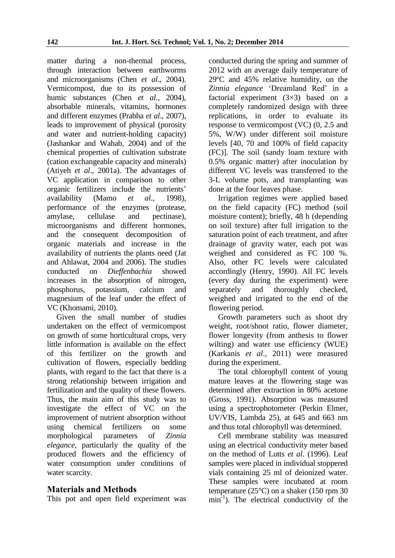matter during a non-thermal process, through interaction between earthworms and microorganisms (Chen *et al*., 2004). Vermicompost, due to its possession of humic substances (Chen *et al*., 2004), absorbable minerals, vitamins, hormones and different enzymes (Prabha *et al*., 2007), leads to improvement of physical (porosity and water and nutrient-holding capacity) (Jashankar and Wahab, 2004) and of the chemical properties of cultivation substrate (cation exchangeable capacity and minerals) (Atiyeh *et al*., 2001a). The advantages of VC application in comparison to other organic fertilizers include the nutrients' availability (Mamo *et al*., 1998), performance of the enzymes (protease, amylase, cellulase and pectinase), microorganisms and different hormones, and the consequent decomposition of organic materials and increase in the availability of nutrients the plants need (Jat and Ahlawat, 2004 and 2006). The studies conducted on *Dieffenbachia* showed increases in the absorption of nitrogen, phosphorus, potassium, calcium and magnesium of the leaf under the effect of VC (Khomami, 2010).

Given the small number of studies undertaken on the effect of vermicompost on growth of some horticultural crops, very little information is available on the effect of this fertilizer on the growth and cultivation of flowers, especially bedding plants, with regard to the fact that there is a strong relationship between irrigation and fertilization and the quality of these flowers. Thus, the main aim of this study was to investigate the effect of VC on the improvement of nutrient absorption without using chemical fertilizers on some morphological parameters of *Zinnia elegance*, particularly the quality of the produced flowers and the efficiency of water consumption under conditions of water scarcity.

# **Materials and Methods**

This pot and open field experiment was

conducted during the spring and summer of 2012 with an average daily temperature of 29ºC and 45% relative humidity, on the *Zinnia elegance* 'Dreamland Red' in a factorial experiment (3×3) based on a completely randomized design with three replications, in order to evaluate its response to vermicompost (VC) (0, 2.5 and 5%, W/W) under different soil moisture levels [40, 70 and 100% of field capacity (FC)]. The soil (sandy loam texture with 0.5% organic matter) after inoculation by different VC levels was transferred to the 3-L volume pots, and transplanting was done at the four leaves phase.

Irrigation regimes were applied based on the field capacity (FC) method (soil moisture content); briefly, 48 h (depending on soil texture) after full irrigation to the saturation point of each treatment, and after drainage of gravity water, each pot was weighed and considered as FC 100 %. Also, other FC levels were calculated accordingly (Henry, 1990). All FC levels (every day during the experiment) were separately and thoroughly checked, weighed and irrigated to the end of the flowering period.

Growth parameters such as shoot dry weight, root/shoot ratio, flower diameter, flower longevity (from anthesis to flower wilting) and water use efficiency (WUE) (Karkanis *et al*., 2011) were measured during the experiment.

The total chlorophyll content of young mature leaves at the flowering stage was determined after extraction in 80% acetone (Gross, 1991). Absorption was measured using a spectrophotometer (Perkin Elmer, UV/VIS, Lambda 25), at 645 and 663 nm and thus total chlorophyll was determined.

Cell membrane stability was measured using an electrical conductivity meter based on the method of Lutts *et al*. (1996). Leaf samples were placed in individual stoppered vials containing 25 ml of deionized water. These samples were incubated at room temperature (25°C) on a shaker (150 rpm 30 min<sup>-1</sup>). The electrical conductivity of the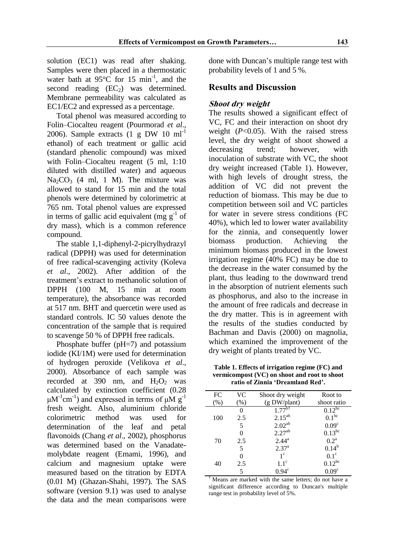solution (EC1) was read after shaking. Samples were then placed in a thermostatic water bath at  $95^{\circ}$ C for 15 min<sup>-1</sup>, and the second reading  $(EC_2)$  was determined. Membrane permeability was calculated as EC1/EC2 and expressed as a percentage.

Total phenol was measured according to Folin–Ciocalteu reagent (Pourmorad *et al*., 2006). Sample extracts  $(1 \text{ g DW } 10 \text{ ml}^{-1})$ ethanol) of each treatment or gallic acid (standard phenolic compound) was mixed with Folin–Ciocalteu reagent (5 ml, 1:10 diluted with distilled water) and aqueous  $Na_2CO_3$  (4 ml, 1 M). The mixture was allowed to stand for 15 min and the total phenols were determined by colorimetric at 765 nm. Total phenol values are expressed in terms of gallic acid equivalent (mg  $g^{-1}$  of dry mass), which is a common reference compound.

The stable 1,1-diphenyl-2-picrylhydrazyl radical (DPPH) was used for determination of free radical-scavenging activity (Koleva *et al*., 2002). After addition of the treatment's extract to methanolic solution of DPPH (100 M, 15 min at room temperature), the absorbance was recorded at 517 nm. BHT and quercetin were used as standard controls. IC 50 values denote the concentration of the sample that is required to scavenge 50 % of DPPH free radicals.

Phosphate buffer (pH=7) and potassium iodide (KI/1M) were used for determination of hydrogen peroxide (Velikova *et al*., 2000). Absorbance of each sample was recorded at 390 nm, and  $H_2O_2$  was calculated by extinction coefficient (0.28  $\mu$ M<sup>-1</sup>cm<sup>-1</sup>) and expressed in terms of  $\mu$ M g<sup>-1</sup> fresh weight. Also, aluminium chloride colorimetric method was used for determination of the leaf and petal flavonoids (Chang *et al*., 2002), phosphorus was determined based on the Vanadatemolybdate reagent (Emami, 1996), and calcium and magnesium uptake were measured based on the titration by EDTA (0.01 M) (Ghazan-Shahi, 1997). The SAS software (version 9.1) was used to analyse the data and the mean comparisons were done with Duncan's multiple range test with probability levels of 1 and 5 %.

# **Results and Discussion**

### **Shoot dry weight**

The results showed a significant effect of VC, FC and their interaction on shoot dry weight (*P*<0.05). With the raised stress level, the dry weight of shoot showed a decreasing trend; however, with inoculation of substrate with VC, the shoot dry weight increased (Table 1). However, with high levels of drought stress, the addition of VC did not prevent the reduction of biomass. This may be due to competition between soil and VC particles for water in severe stress conditions (FC 40%), which led to lower water availability for the zinnia, and consequently lower biomass production. Achieving the minimum biomass produced in the lowest irrigation regime (40% FC) may be due to the decrease in the water consumed by the plant, thus leading to the downward trend in the absorption of nutrient elements such as phosphorus, and also to the increase in the amount of free radicals and decrease in the dry matter. This is in agreement with the results of the studies conducted by Bachman and Davis (2000) on magnolia, which examined the improvement of the dry weight of plants treated by VC.

**Table 1. Effects of irrigation regime (FC) and vermicompost (VC) on shoot and root to shoot ratio of Zinnia 'Dreamland Red'.**

| FC  | VC       | Shoot dry weight   | Root to                |
|-----|----------|--------------------|------------------------|
| (%) | (%)      | (g DW/plant)       | shoot ratio            |
|     | $\Omega$ | $1.77^{b\dagger}$  | $0.12^{b\overline{c}}$ |
| 100 | 2.5      | $2.15^{ab}$        | 0.1 <sup>bc</sup>      |
|     | 5        | 2.02 <sup>ab</sup> | 0.09 <sup>c</sup>      |
|     | 0        | 2.27 <sup>ab</sup> | $0.13^{bc}$            |
| 70  | 2.5      | $2.44^{\rm a}$     | $0.2^{\text{a}}$       |
|     | 5        | $2.37^{a}$         | $0.14^{b}$             |
|     | 0        | $1^{\circ}$        | $0.1^\circ$            |
| 40  | 2.5      | $1.1^\circ$        | $0.12^{bc}$            |
|     | 5        | $0.94^{\circ}$     | 0.09 <sup>c</sup>      |

† Means are marked with the same letters; do not have a significant difference according to Duncan's multiple range test in probability level of 5%.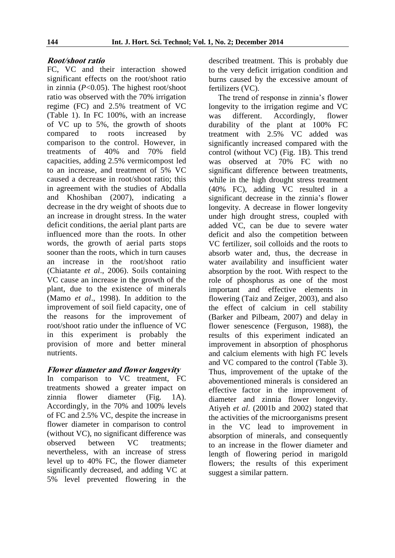# **Root/shoot ratio**

FC, VC and their interaction showed significant effects on the root/shoot ratio in zinnia (*P*<0.05). The highest root/shoot ratio was observed with the 70% irrigation regime (FC) and 2.5% treatment of VC (Table 1). In FC 100%, with an increase of VC up to 5%, the growth of shoots compared to roots increased by comparison to the control. However, in treatments of 40% and 70% field capacities, adding 2.5% vermicompost led to an increase, and treatment of 5% VC caused a decrease in root/shoot ratio; this in agreement with the studies of Abdalla and Khoshiban (2007), indicating a decrease in the dry weight of shoots due to an increase in drought stress. In the water deficit conditions, the aerial plant parts are influenced more than the roots. In other words, the growth of aerial parts stops sooner than the roots, which in turn causes an increase in the root/shoot ratio (Chiatante *et al*., 2006). Soils containing VC cause an increase in the growth of the plant, due to the existence of minerals (Mamo *et al*., 1998). In addition to the improvement of soil field capacity, one of the reasons for the improvement of root/shoot ratio under the influence of VC in this experiment is probably the provision of more and better mineral nutrients.

# **Flower diameter and flower longevity**

In comparison to VC treatment, FC treatments showed a greater impact on zinnia flower diameter (Fig. 1A). Accordingly, in the 70% and 100% levels of FC and 2.5% VC, despite the increase in flower diameter in comparison to control (without VC), no significant difference was observed between VC treatments; nevertheless, with an increase of stress level up to 40% FC, the flower diameter significantly decreased, and adding VC at 5% level prevented flowering in the

described treatment. This is probably due to the very deficit irrigation condition and burns caused by the excessive amount of fertilizers (VC).

The trend of response in zinnia's flower longevity to the irrigation regime and VC was different. Accordingly, flower durability of the plant at 100% FC treatment with 2.5% VC added was significantly increased compared with the control (without VC) (Fig. 1B). This trend was observed at 70% FC with no significant difference between treatments, while in the high drought stress treatment (40% FC), adding VC resulted in a significant decrease in the zinnia's flower longevity. A decrease in flower longevity under high drought stress, coupled with added VC, can be due to severe water deficit and also the competition between VC fertilizer, soil colloids and the roots to absorb water and, thus, the decrease in water availability and insufficient water absorption by the root. With respect to the role of phosphorus as one of the most important and effective elements in flowering (Taiz and Zeiger, 2003), and also the effect of calcium in cell stability (Barker and Pilbeam, 2007) and delay in flower senescence (Ferguson, 1988), the results of this experiment indicated an improvement in absorption of phosphorus and calcium elements with high FC levels and VC compared to the control (Table 3). Thus, improvement of the uptake of the abovementioned minerals is considered an effective factor in the improvement of diameter and zinnia flower longevity. Atiyeh *et al*. (2001b and 2002) stated that the activities of the microorganisms present in the VC lead to improvement in absorption of minerals, and consequently to an increase in the flower diameter and length of flowering period in marigold flowers; the results of this experiment suggest a similar pattern.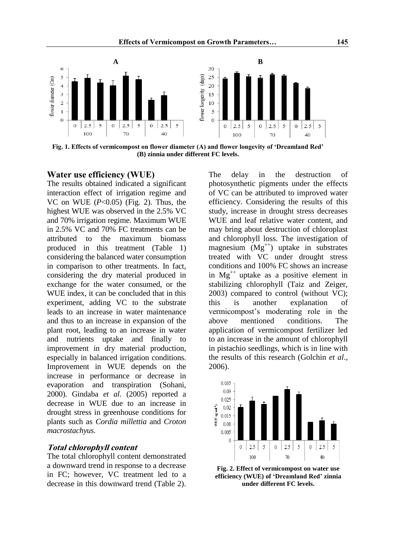**Effects of Vermicompost on Growth Parameters… 145**



**Fig. 1. Effects of vermicompost on flower diameter (A) and flower longevity of 'Dreamland Red' (B) zinnia under different FC levels.**

# **Water use efficiency (WUE)**

The results obtained indicated a significant interaction effect of irrigation regime and VC on WUE (*P*<0.05) (Fig. 2). Thus, the highest WUE was observed in the 2.5% VC and 70% irrigation regime. Maximum WUE in 2.5% VC and 70% FC treatments can be attributed to the maximum biomass produced in this treatment (Table 1) considering the balanced water consumption in comparison to other treatments. In fact, considering the dry material produced in exchange for the water consumed, or the WUE index, it can be concluded that in this experiment, adding VC to the substrate leads to an increase in water maintenance and thus to an increase in expansion of the plant root, leading to an increase in water and nutrients uptake and finally to improvement in dry material production, especially in balanced irrigation conditions. Improvement in WUE depends on the increase in performance or decrease in evaporation and transpiration (Sohani, 2000). Gindaba *et al*. (2005) reported a decrease in WUE due to an increase in drought stress in greenhouse conditions for plants such as *Cordia millettia* and *Croton macrostachyus.*

### **Total chlorophyll content**

The total chlorophyll content demonstrated a downward trend in response to a decrease in FC; however, VC treatment led to a decrease in this downward trend (Table 2). The delay in the destruction of photosynthetic pigments under the effects of VC can be attributed to improved water efficiency. Considering the results of this study, increase in drought stress decreases WUE and leaf relative water content, and may bring about destruction of chloroplast and chlorophyll loss. The investigation of magnesium  $(Mg^{++})$  uptake in substrates treated with VC under drought stress conditions and 100% FC shows an increase in  $Mg^{++}$  uptake as a positive element in stabilizing chlorophyll (Taiz and Zeiger, 2003) compared to control (without VC); this is another explanation of vermicompost's moderating role in the above mentioned conditions. The application of vermicompost fertilizer led to an increase in the amount of chlorophyll in pistachio seedlings, which is in line with the results of this research (Golchin *et al*., 2006).



**Fig. 2. Effect of vermicompost on water use efficiency (WUE) of 'Dreamland Red' zinnia under different FC levels.**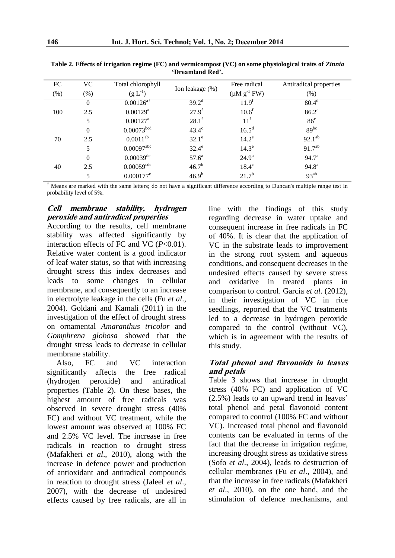| FC<br>$(\%)$ | <b>VC</b><br>$(\%)$ | Total chlorophyll<br>$(g L^{-1})$ | Ion leakage $(\%)$ | Free radical<br>$(\mu M g^{-1} FW)$ | Antiradical properties<br>(% ) |
|--------------|---------------------|-----------------------------------|--------------------|-------------------------------------|--------------------------------|
| 100          | $\theta$            | $0.00126$ <sup>at</sup>           | $39.2^d$           | $11.9^{\text{t}}$                   | 80.4 <sup>d</sup>              |
|              | 2.5                 | $0.00129$ <sup>a</sup>            | $27.9^{f}$         | 10.6 <sup>f</sup>                   | $86.2^{\circ}$                 |
|              | 5                   | $0.00127$ <sup>a</sup>            | $28.1^{\rm f}$     | 11 <sup>f</sup>                     | 86 <sup>c</sup>                |
| 70           | $\theta$            | $0.00073^{\rm bcd}$               | $43.4^\circ$       | $16.5^d$                            | $89^{bc}$                      |
|              | 2.5                 | $0.0011^{ab}$                     | $32.1^\circ$       | $14.2^e$                            | $92.1^{ab}$                    |
|              | 5                   | $0.00097$ <sup>abc</sup>          | $32.4^e$           | 14.3 <sup>e</sup>                   | $91.7^{ab}$                    |
| 40           | $\theta$            | $0.00039$ <sup>de</sup>           | 57.6 <sup>a</sup>  | $24.9^{\rm a}$                      | 94.7 <sup>a</sup>              |
|              | 2.5                 | $0.00059^{cde}$                   | $46.7^{b}$         | $18.4^\circ$                        | $94.8^{\rm a}$                 |
|              | 5                   | $0.000177^e$                      | 46.9 <sup>b</sup>  | $21.7^{b}$                          | $93^{ab}$                      |

**Table 2. Effects of irrigation regime (FC) and vermicompost (VC) on some physiological traits of** *Zinnia*  **'Dreamland Red'.** 

† Means are marked with the same letters; do not have a significant difference according to Duncan's multiple range test in probability level of 5%.

### **Cell membrane stability, hydrogen peroxide and antiradical properties**

According to the results, cell membrane stability was affected significantly by interaction effects of FC and VC (*P*<0.01). Relative water content is a good indicator of leaf water status, so that with increasing drought stress this index decreases and leads to some changes in cellular membrane, and consequently to an increase in electrolyte leakage in the cells (Fu *et al*., 2004). Goldani and Kamali (2011) in the investigation of the effect of drought stress on ornamental *Amaranthus tricolor* and *Gomphrena globosa* showed that the drought stress leads to decrease in cellular membrane stability.

Also, FC and VC interaction significantly affects the free radical (hydrogen peroxide) and antiradical properties (Table 2). On these bases, the highest amount of free radicals was observed in severe drought stress (40% FC) and without VC treatment, while the lowest amount was observed at 100% FC and 2.5% VC level. The increase in free radicals in reaction to drought stress (Mafakheri *et al*., 2010), along with the increase in defence power and production of antioxidant and antiradical compounds in reaction to drought stress (Jaleel *et al*., 2007), with the decrease of undesired effects caused by free radicals, are all in line with the findings of this study regarding decrease in water uptake and consequent increase in free radicals in FC of 40%. It is clear that the application of VC in the substrate leads to improvement in the strong root system and aqueous conditions, and consequent decreases in the undesired effects caused by severe stress and oxidative in treated plants in comparison to control. Garcia *et al*. (2012), in their investigation of VC in rice seedlings, reported that the VC treatments led to a decrease in hydrogen peroxide compared to the control (without VC), which is in agreement with the results of this study.

# **Total phenol and flavonoids in leaves and petals**

Table 3 shows that increase in drought stress (40% FC) and application of VC (2.5%) leads to an upward trend in leaves' total phenol and petal flavonoid content compared to control (100% FC and without VC). Increased total phenol and flavonoid contents can be evaluated in terms of the fact that the decrease in irrigation regime, increasing drought stress as oxidative stress (Sofo *et al*., 2004), leads to destruction of cellular membranes (Fu *et al*., 2004), and that the increase in free radicals (Mafakheri *et al*., 2010), on the one hand, and the stimulation of defence mechanisms, and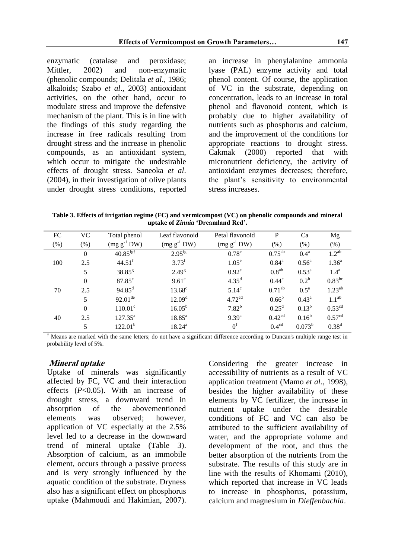enzymatic (catalase and peroxidase;<br>Mittler, 2002) and non-enzymatic 2002) and non-enzymatic (phenolic compounds; Delitala *et al*., 1986; alkaloids; Szabo *et al*., 2003) antioxidant activities, on the other hand, occur to modulate stress and improve the defensive mechanism of the plant. This is in line with the findings of this study regarding the increase in free radicals resulting from drought stress and the increase in phenolic compounds, as an antioxidant system, which occur to mitigate the undesirable effects of drought stress. Saneoka *et al*. (2004), in their investigation of olive plants under drought stress conditions, reported an increase in phenylalanine ammonia lyase (PAL) enzyme activity and total phenol content. Of course, the application of VC in the substrate, depending on concentration, leads to an increase in total phenol and flavonoid content, which is probably due to higher availability of nutrients such as phosphorus and calcium, and the improvement of the conditions for appropriate reactions to drought stress. Cakmak (2000) reported that with micronutrient deficiency, the activity of antioxidant enzymes decreases; therefore, the plant's sensitivity to environmental stress increases.

**Table 3. Effects of irrigation regime (FC) and vermicompost (VC) on phenolic compounds and mineral uptake of** *Zinnia* **'Dreamland Red'.**

| FC  | VC               | Total phenol           | Leaf flavonoid     | Petal flavonoid    | P                  | Ca                 | Mg                 |
|-----|------------------|------------------------|--------------------|--------------------|--------------------|--------------------|--------------------|
| (%) | $(\%)$           | $(mg g^{-1} DW)$       | $(mg g^{-1} DW)$   | $(mg g^{-1} DW)$   | (% )               | (% )               | (% )               |
| 100 | $\mathbf{0}$     | $40.85$ <sup>fg†</sup> | $2.95^{fg}$        | $0.78^e$           | $0.75^{ab}$        | 0.4 <sup>a</sup>   | 1.2 <sup>ab</sup>  |
|     | 2.5              | $44.51$ <sup>f</sup>   | $3.73^{f}$         | 1.05 <sup>e</sup>  | $0.84^{\text{a}}$  | 0.56 <sup>a</sup>  | 1.36 <sup>a</sup>  |
|     | 5                | $38.85^{g}$            | $2.49^{\rm g}$     | $0.92^e$           | 0.8 <sup>ab</sup>  | $0.53^{\rm a}$     | $1.4^{\rm a}$      |
| 70  | $\mathbf{0}$     | $87.85^{\circ}$        | $9.61^e$           | $4.35^{\rm d}$     | $0.44^\circ$       | $0.2^b$            | $0.83^{bc}$        |
|     | 2.5              | $94.85^{\rm d}$        | $13.68^{\circ}$    | 5.14 <sup>c</sup>  | $0.71^{ab}$        | $0.5^{\mathrm{a}}$ | $1.23^{ab}$        |
|     | 5                | $92.01^{\text{de}}$    | 12.09 <sup>d</sup> | 4.72 <sup>cd</sup> | $0.66^{\rm b}$     | $0.43^{\rm a}$     | 1.1 <sup>ab</sup>  |
| 40  | $\boldsymbol{0}$ | $110.01^{\circ}$       | $16.05^{b}$        | $7.82^{b}$         | $0.25^d$           | $0.13^{b}$         | 0.53 <sup>cd</sup> |
|     | 2.5              | $127.35^{\circ}$       | $18.85^{\rm a}$    | $9.39^{a}$         | 0.42 <sup>cd</sup> | $0.16^{\rm b}$     | 0.57 <sup>cd</sup> |
|     | 5                | $122.01^b$             | $18.24^{a}$        | 0 <sup>f</sup>     | 0.4 <sup>cd</sup>  | $0.073^{b}$        | 0.38 <sup>d</sup>  |

 $\dagger$  Means are marked with the same letters; do not have a significant difference according to Duncan's multiple range test in probability level of 5%.

#### **Mineral uptake**

Uptake of minerals was significantly affected by FC, VC and their interaction effects (*P*<0.05). With an increase of drought stress, a downward trend in absorption of the abovementioned elements was observed; however, application of VC especially at the 2.5% level led to a decrease in the downward trend of mineral uptake (Table 3). Absorption of calcium, as an immobile element, occurs through a passive process and is very strongly influenced by the aquatic condition of the substrate. Dryness also has a significant effect on phosphorus uptake (Mahmoudi and Hakimian, 2007).

Considering the greater increase in accessibility of nutrients as a result of VC application treatment (Mamo *et al*., 1998), besides the higher availability of these elements by VC fertilizer, the increase in nutrient uptake under the desirable conditions of FC and VC can also be attributed to the sufficient availability of water, and the appropriate volume and development of the root, and thus the better absorption of the nutrients from the substrate. The results of this study are in line with the results of Khomami (2010), which reported that increase in VC leads to increase in phosphorus, potassium, calcium and magnesium in *Dieffenbachia*.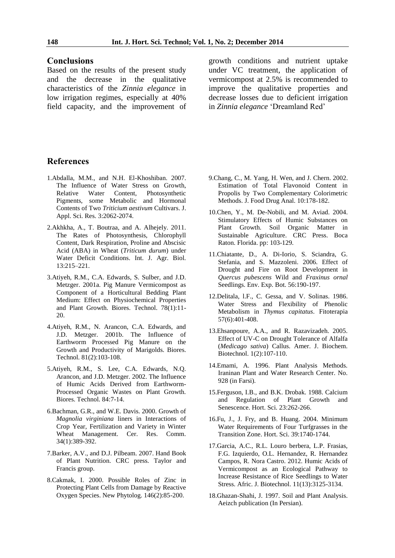#### **Conclusions**

Based on the results of the present study and the decrease in the qualitative characteristics of the *Zinnia elegance* in low irrigation regimes, especially at 40% field capacity, and the improvement of growth conditions and nutrient uptake under VC treatment, the application of vermicompost at 2.5% is recommended to improve the qualitative properties and decrease losses due to deficient irrigation in *Zinnia elegance* 'Dreamland Red'

### **References**

- 1.Abdalla, M.M., and N.H. El-Khoshiban. 2007. The Influence of Water Stress on Growth, Relative Water Content, Photosynthetic Pigments, some Metabolic and Hormonal Contents of Two *Triticium aestivum* Cultivars. J. Appl. Sci. Res. 3:2062-2074.
- 2.Akhkha, A., T. Boutraa, and A. Alhejely. 2011. The Rates of Photosynthesis, Chlorophyll Content, Dark Respiration, Proline and Abscisic Acid (ABA) in Wheat (*Triticum durum*) under Water Deficit Conditions. Int. J. Agr. Biol. 13:215–221.
- 3.Atiyeh, R.M., C.A. Edwards, S. Sulber, and J.D. Metzger. 2001a. Pig Manure Vermicompost as Component of a Horticultural Bedding Plant Medium: Effect on Physiochemical Properties and Plant Growth. Biores. Technol. 78(1):11- 20.
- 4.Atiyeh, R.M., N. Arancon, C.A. Edwards, and J.D. Metzger. 2001b. The Influence of Earthworm Processed Pig Manure on the Growth and Productivity of Marigolds. Biores. Technol. 81(2):103-108.
- 5.Atiyeh, R.M., S. Lee, C.A. Edwards, N.Q. Arancon, and J.D. Metzger. 2002. The Influence of Humic Acids Derived from Earthworm-Processed Organic Wastes on Plant Growth. Biores. Technol. 84:7-14.
- 6.Bachman, G.R., and W.E. Davis. 2000. Growth of *Magnolia virginiana* liners in Interactions of Crop Year, Fertilization and Variety in Winter Wheat Management. Cer. Res. Comm. 34(1):389-392.
- 7.Barker, A.V., and D.J. Pilbeam. 2007. Hand Book of Plant Nutrition. CRC press. Taylor and Francis group.
- 8.Cakmak, I. 2000. Possible Roles of Zinc in Protecting Plant Cells from Damage by Reactive Oxygen Species. New Phytolog. 146(2):85-200.
- 9.Chang, C., M. Yang, H. Wen, and J. Chern. 2002. Estimation of Total Flavonoid Content in Propolis by Two Complementary Colorimetric Methods. J. Food Drug Anal. 10:178-182.
- 10.Chen, Y., M. De-Nobili, and M. Aviad. 2004. Stimulatory Effects of Humic Substances on Plant Growth. Soil Organic Matter in Sustainable Agriculture. CRC Press. Boca Raton. Florida. pp: 103-129.
- 11.Chiatante, D., A. Di-Iorio, S. Sciandra, G. Stefania, and S. Mazzoleni. 2006. Effect of Drought and Fire on Root Development in *Quercus pubescens* Wild and *Fraxinus ornal*  Seedlings. Env. Exp. Bot. 56:190-197.
- 12.Delitala, l.F., C. Gessa, and V. Solinas. 1986. Water Stress and Flexibility of Phenolic Metabolism in *Thymus capitatus*. Fitoterapia 57(6):401-408.
- 13.Ehsanpoure, A.A., and R. Razavizadeh. 2005. Effect of UV-C on Drought Tolerance of Alfalfa (*Medicago sativa*) Callus. Amer. J. Biochem. Biotechnol. 1(2):107-110.
- 14.Emami, A. 1996. Plant Analysis Methods. Iraninan Plant and Water Research Center. No. 928 (in Farsi).
- 15.Ferguson, I.B., and B.K. Drobak. 1988. Calcium and Regulation of Plant Growth and Senescence. Hort. Sci. 23:262-266.
- 16.Fu, J., J. Fry, and B. Huang. 2004. Minimum Water Requirements of Four Turfgrasses in the Transition Zone. Hort. Sci. 39:1740-1744.
- 17.Garcia, A.C., R.L. Louro berbera, L.P. Frasias, F.G. Izquierdo, O.L. Hernandez, R. Hernandez Campos, R. Nora Castro. 2012. Humic Acids of Vermicompost as an Ecological Pathway to Increase Resistance of Rice Seedlings to Water Stress. Afric. J. Biotechnol. 11(13):3125-3134.
- 18.Ghazan-Shahi, J. 1997. Soil and Plant Analysis. Aeizch publication (In Persian).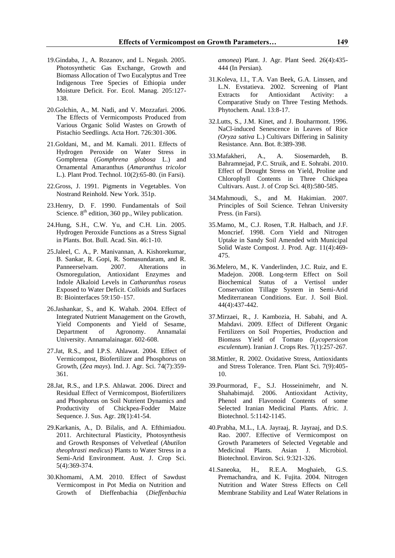- 19.Gindaba, J., A. Rozanov, and L. Negash. 2005. Photosynthetic Gas Exchange, Growth and Biomass Allocation of Two Eucalyptus and Tree Indigenous Tree Species of Ethiopia under Moisture Deficit. For. Ecol. Manag. 205:127- 138.
- 20.Golchin, A., M. Nadi, and V. Mozzafari. 2006. The Effects of Vermicomposts Produced from Various Organic Solid Wastes on Growth of Pistachio Seedlings. Acta Hort. 726:301-306.
- 21.Goldani, M., and M. Kamali. 2011. Effects of Hydrogen Peroxide on Water Stress in Gomphrena (*Gomphrena globosa* L.) and Ornamental Amaranthus (*Amaranthus tricolor* L.). Plant Prod. Technol. 10(2):65-80. (in Farsi).
- 22.Gross, J. 1991. Pigments in Vegetables. Von Nostrand Reinhold. New York. 351p.
- 23.Henry, D. F. 1990. Fundamentals of Soil Science.  $8<sup>th</sup>$  edition, 360 pp., Wiley publication.
- 24.Hung, S.H., C.W. Yu, and C.H. Lin. 2005. Hydrogen Peroxide Functions as a Stress Signal in Plants. Bot. Bull. Acad. Sin. 46:1-10.
- 25.Jaleel, C. A., P. Manivannan, A. Kishorekumar, B. Sankar, R. Gopi, R. Somasundaram, and R. Panneerselvam. 2007. Alterations in Osmoregulation, Antioxidant Enzymes and Indole Alkaloid Levels in *Catharanthus roseus*  Exposed to Water Deficit. Colloids and Surfaces B: Biointerfaces 59:150–157.
- 26.Jashankar, S., and K. Wahab. 2004. Effect of Integrated Nutrient Management on the Growth, Yield Components and Yield of Sesame, Department of Agronomy. Annamalai University. Annamalainagar. 602-608.
- 27.Jat, R.S., and I.P.S. Ahlawat. 2004. Effect of Vermicompost, Biofertilizer and Phosphorus on Growth, (*Zea mays*). Ind. J. Agr. Sci. 74(7):359- 361.
- 28.Jat, R.S., and I.P.S. Ahlawat. 2006. Direct and Residual Effect of Vermicompost, Biofertilizers and Phosphorus on Soil Nutrient Dynamics and Productivity of Chickpea-Fodder Maize Sequence. J. Sus. Agr. 28(1):41-54.
- 29.Karkanis, A., D. Bilalis, and A. Efthimiadou. 2011. Architectural Plasticity, Photosynthesis and Growth Responses of Velvetleaf (*Abutilon theophrasti medicus*) Plants to Water Stress in a Semi-Arid Environment. Aust. J. Crop Sci. 5(4):369-374.
- 30.Khomami, A.M. 2010. Effect of Sawdust Vermicompost in Pot Media on Nutrition and Growth of Dieffenbachia (*Dieffenbachia*

*amonea*) Plant. J. Agr. Plant Seed. 26(4):435- 444 (In Persian).

- 31.Koleva, I.I., T.A. Van Beek, G.A. Linssen, and L.N. Evstatieva. 2002. Screening of Plant Extracts for Antioxidant Activity: a Comparative Study on Three Testing Methods. Phytochem. Anal. 13:8-17.
- 32.Lutts, S., J.M. Kinet, and J. Bouharmont. 1996. NaCl-induced Senescence in Leaves of Rice *(Oryza sativa* L.) Cultivars Differing in Salinity Resistance. Ann. Bot. 8:389-398.
- 33.Mafakheri, A., A. Siosemardeh, B. Bahramnejad, P.C. Struik, and E. Sohrabi. 2010. Effect of Drought Stress on Yield, Proline and Chlorophyll Contents in Three Chickpea Cultivars. Aust. J. of Crop Sci. 4(8):580-585.
- 34.Mahmoudi, S., and M. Hakimian. 2007. Principles of Soil Science*.* Tehran University Press. (in Farsi).
- 35.Mamo, M., C.J. Rosen, T.R. Halbach, and J.F. Moncrief. 1998. Corn Yield and Nitrogen Uptake in Sandy Soil Amended with Municipal Solid Waste Compost. J. Prod. Agr. 11(4):469- 475.
- 36.Melero, M., K. Vanderlinden, J.C. Ruiz, and E. Madejon. 2008. Long-term Effect on Soil Biochemical Status of a Vertisol under Conservation Tillage System in Semi-Arid Mediterranean Conditions. Eur. J. Soil Biol. 44(4):437-442.
- 37.Mirzaei, R., J. Kambozia, H. Sabahi, and A. Mahdavi. 2009. Effect of Different Organic Fertilizers on Soil Properties, Production and Biomass Yield of Tomato (*Lycopersicon esculentum*). Iranian J. Crops Res. 7(1):257-267.
- 38.Mittler, R. 2002. Oxidative Stress, Antioxidants and Stress Tolerance. Tren. Plant Sci. 7(9):405- 10.
- 39.Pourmorad, F., S.J. Hosseinimehr, and N. Shahabimajd. 2006. Antioxidant Activity, Phenol and Flavonoid Contents of some Selected Iranian Medicinal Plants. Afric. J. Biotechnol. 5:1142-1145.
- 40.Prabha, M.L., I.A. Jayraaj, R. Jayraaj, and D.S. Rao. 2007. Effective of Vermicompost on Growth Parameters of Selected Vegetable and Medicinal Plants. Asian J. Microbiol. Biotechnol. Environ. Sci. 9:321-326.
- 41.Saneoka, H., R.E.A. Moghaieb, G.S. Premachandra, and K. Fujita. 2004. Nitrogen Nutrition and Water Stress Effects on Cell Membrane Stability and Leaf Water Relations in